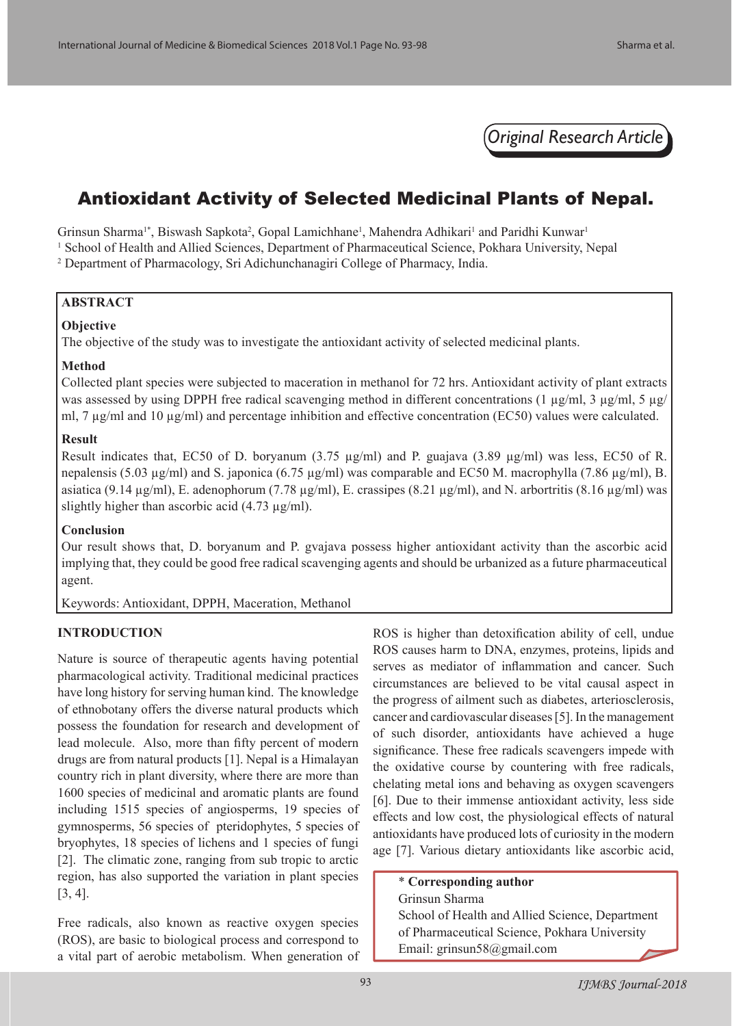*Original Research Article*

# Antioxidant Activity of Selected Medicinal Plants of Nepal.

Grinsun Sharma<sup>1\*</sup>, Biswash Sapkota<sup>2</sup>, Gopal Lamichhane<sup>1</sup>, Mahendra Adhikari<sup>1</sup> and Paridhi Kunwar<sup>1</sup>

<sup>1</sup> School of Health and Allied Sciences, Department of Pharmaceutical Science, Pokhara University, Nepal 2 Department of Pharmacology, Sri Adichunchanagiri College of Pharmacy, India.

# **ABSTRACT**

# **Objective**

The objective of the study was to investigate the antioxidant activity of selected medicinal plants.

# **Method**

Collected plant species were subjected to maceration in methanol for 72 hrs. Antioxidant activity of plant extracts was assessed by using DPPH free radical scavenging method in different concentrations (1 µg/ml, 3 µg/ml, 5 µg/ ml, 7 μg/ml and 10 μg/ml) and percentage inhibition and effective concentration (EC50) values were calculated.

# **Result**

Result indicates that, EC50 of D. boryanum (3.75  $\mu$ g/ml) and P. guajava (3.89  $\mu$ g/ml) was less, EC50 of R. nepalensis (5.03  $\mu$ g/ml) and S. japonica (6.75  $\mu$ g/ml) was comparable and EC50 M. macrophylla (7.86  $\mu$ g/ml), B. asiatica (9.14  $\mu$ g/ml), E. adenophorum (7.78  $\mu$ g/ml), E. crassipes (8.21  $\mu$ g/ml), and N. arbortritis (8.16  $\mu$ g/ml) was slightly higher than ascorbic acid  $(4.73 \text{ µg/ml})$ .

# **Conclusion**

Our result shows that, D. boryanum and P. gvajava possess higher antioxidant activity than the ascorbic acid implying that, they could be good free radical scavenging agents and should be urbanized as a future pharmaceutical agent.

Keywords: Antioxidant, DPPH, Maceration, Methanol

# **INTRODUCTION**

Nature is source of therapeutic agents having potential pharmacological activity. Traditional medicinal practices have long history for serving human kind. The knowledge of ethnobotany offers the diverse natural products which possess the foundation for research and development of lead molecule. Also, more than fifty percent of modern drugs are from natural products [1]. Nepal is a Himalayan country rich in plant diversity, where there are more than 1600 species of medicinal and aromatic plants are found including 1515 species of angiosperms, 19 species of gymnosperms, 56 species of pteridophytes, 5 species of bryophytes, 18 species of lichens and 1 species of fungi [2]. The climatic zone, ranging from sub tropic to arctic region, has also supported the variation in plant species [3, 4].

Free radicals, also known as reactive oxygen species (ROS), are basic to biological process and correspond to a vital part of aerobic metabolism. When generation of ROS is higher than detoxification ability of cell, undue ROS causes harm to DNA, enzymes, proteins, lipids and serves as mediator of inflammation and cancer. Such circumstances are believed to be vital causal aspect in the progress of ailment such as diabetes, arteriosclerosis, cancer and cardiovascular diseases [5]. In the management of such disorder, antioxidants have achieved a huge significance. These free radicals scavengers impede with the oxidative course by countering with free radicals, chelating metal ions and behaving as oxygen scavengers [6]. Due to their immense antioxidant activity, less side effects and low cost, the physiological effects of natural antioxidants have produced lots of curiosity in the modern age [7]. Various dietary antioxidants like ascorbic acid,

# \* **Corresponding author**

# Grinsun Sharma

School of Health and Allied Science, Department of Pharmaceutical Science, Pokhara University Email: grinsun58@gmail.com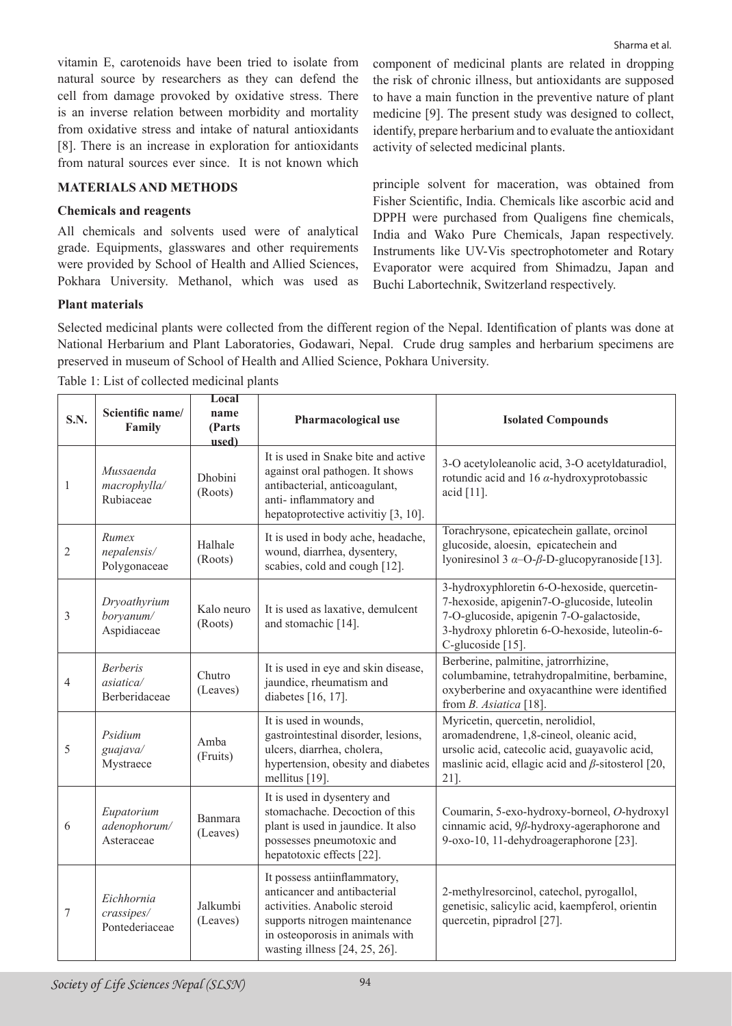vitamin E, carotenoids have been tried to isolate from natural source by researchers as they can defend the cell from damage provoked by oxidative stress. There is an inverse relation between morbidity and mortality from oxidative stress and intake of natural antioxidants [8]. There is an increase in exploration for antioxidants from natural sources ever since. It is not known which

**MATERIALS AND METHODS** 

# **Chemicals and reagents**

All chemicals and solvents used were of analytical grade. Equipments, glasswares and other requirements were provided by School of Health and Allied Sciences, Pokhara University. Methanol, which was used as component of medicinal plants are related in dropping the risk of chronic illness, but antioxidants are supposed to have a main function in the preventive nature of plant medicine [9]. The present study was designed to collect, identify, prepare herbarium and to evaluate the antioxidant activity of selected medicinal plants.

principle solvent for maceration, was obtained from Fisher Scientific, India. Chemicals like ascorbic acid and DPPH were purchased from Qualigens fine chemicals, India and Wako Pure Chemicals, Japan respectively. Instruments like UV-Vis spectrophotometer and Rotary Evaporator were acquired from Shimadzu, Japan and Buchi Labortechnik, Switzerland respectively.

# **Plant materials**

Selected medicinal plants were collected from the different region of the Nepal. Identification of plants was done at National Herbarium and Plant Laboratories, Godawari, Nepal. Crude drug samples and herbarium specimens are preserved in museum of School of Health and Allied Science, Pokhara University.

| Table 1: List of collected medicinal plants |  |
|---------------------------------------------|--|
|---------------------------------------------|--|

| S.N.             | Scientific name/<br>Family                    | Local<br>name<br>(Parts<br>used) | Pharmacological use                                                                                                                                                                                  | <b>Isolated Compounds</b>                                                                                                                                                                                    |  |
|------------------|-----------------------------------------------|----------------------------------|------------------------------------------------------------------------------------------------------------------------------------------------------------------------------------------------------|--------------------------------------------------------------------------------------------------------------------------------------------------------------------------------------------------------------|--|
| $\mathbf{1}$     | Mussaenda<br>macrophylla/<br>Rubiaceae        | Dhobini<br>(Roots)               | It is used in Snake bite and active<br>against oral pathogen. It shows<br>antibacterial, anticoagulant,<br>anti-inflammatory and<br>hepatoprotective activitiy [3, 10].                              | 3-O acetyloleanolic acid, 3-O acetyldaturadiol,<br>rotundic acid and 16 $\alpha$ -hydroxyprotobassic<br>acid [11].                                                                                           |  |
| $\mathfrak{2}$   | Rumex<br>nepalensis/<br>Polygonaceae          | Halhale<br>(Roots)               | It is used in body ache, headache,<br>wound, diarrhea, dysentery,<br>scabies, cold and cough [12].                                                                                                   | Torachrysone, epicatechein gallate, orcinol<br>glucoside, aloesin, epicatechein and<br>lyoniresinol 3 $\alpha$ -O- $\beta$ -D-glucopyranoside [13].                                                          |  |
| 3                | Dryoathyrium<br>boryanum/<br>Aspidiaceae      | Kalo neuro<br>(Roots)            | It is used as laxative, demulcent<br>and stomachic [14].                                                                                                                                             | 3-hydroxyphloretin 6-O-hexoside, quercetin-<br>7-hexoside, apigenin7-O-glucoside, luteolin<br>7-O-glucoside, apigenin 7-O-galactoside,<br>3-hydroxy phloretin 6-O-hexoside, luteolin-6-<br>C-glucoside [15]. |  |
| 4                | <b>Berberis</b><br>asiatica/<br>Berberidaceae | Chutro<br>(Leaves)               | It is used in eye and skin disease,<br>jaundice, rheumatism and<br>diabetes [16, 17].                                                                                                                | Berberine, palmitine, jatrorrhizine,<br>columbamine, tetrahydropalmitine, berbamine,<br>oxyberberine and oxyacanthine were identified<br>from B. Asiatica [18].                                              |  |
| 5                | Psidium<br>guajava/<br>Mystraece              | Amba<br>(Fruits)                 | It is used in wounds,<br>gastrointestinal disorder, lesions,<br>ulcers, diarrhea, cholera,<br>hypertension, obesity and diabetes<br>mellitus [19].                                                   | Myricetin, quercetin, nerolidiol,<br>aromadendrene, 1,8-cineol, oleanic acid,<br>ursolic acid, catecolic acid, guayavolic acid,<br>maslinic acid, ellagic acid and $\beta$ -sitosterol [20,<br>21].          |  |
| 6                | Eupatorium<br>adenophorum/<br>Asteraceae      | Banmara<br>(Leaves)              | It is used in dysentery and<br>stomachache. Decoction of this<br>plant is used in jaundice. It also<br>possesses pneumotoxic and<br>hepatotoxic effects [22].                                        | Coumarin, 5-exo-hydroxy-borneol, O-hydroxyl<br>cinnamic acid, 9ß-hydroxy-ageraphorone and<br>9-oxo-10, 11-dehydroageraphorone [23].                                                                          |  |
| $\boldsymbol{7}$ | Eichhornia<br>crassipes/<br>Pontederiaceae    | Jalkumbi<br>(Leaves)             | It possess antiinflammatory,<br>anticancer and antibacterial<br>activities. Anabolic steroid<br>supports nitrogen maintenance<br>in osteoporosis in animals with<br>wasting illness $[24, 25, 26]$ . | 2-methylresorcinol, catechol, pyrogallol,<br>genetisic, salicylic acid, kaempferol, orientin<br>quercetin, pipradrol [27].                                                                                   |  |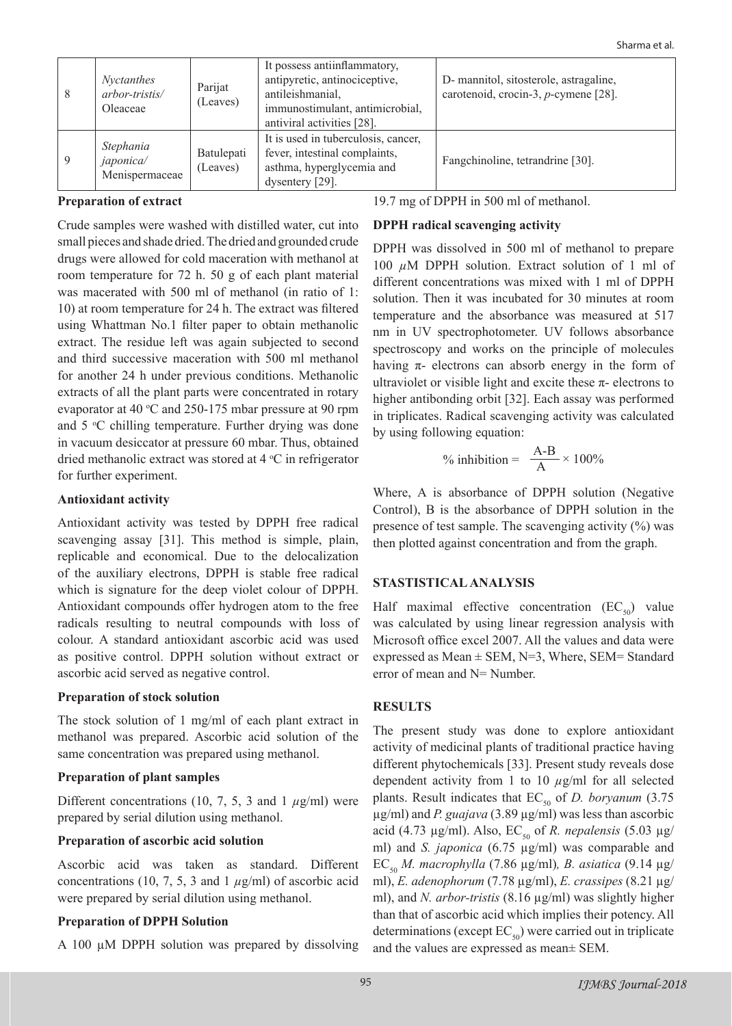| -8 | <i>Nyctanthes</i><br>arbor-tristis/<br>Oleaceae | Parijat<br>(Leaves)    | It possess antiinflammatory,<br>antipyretic, antinociceptive,<br>antileishmanial,<br>immunostimulant, antimicrobial,<br>antiviral activities [28]. | D- mannitol, sitosterole, astragaline,<br>carotenoid, crocin-3, p-cymene [28]. |
|----|-------------------------------------------------|------------------------|----------------------------------------------------------------------------------------------------------------------------------------------------|--------------------------------------------------------------------------------|
| -9 | Stephania<br>japonica/<br>Menispermaceae        | Batulepati<br>(Leaves) | It is used in tuberculosis, cancer,<br>fever, intestinal complaints,<br>asthma, hyperglycemia and<br>dysentery [29].                               | Fangchinoline, tetrandrine [30].                                               |

#### **Preparation of extract**

Crude samples were washed with distilled water, cut into small pieces and shade dried. The dried and grounded crude drugs were allowed for cold maceration with methanol at room temperature for 72 h. 50 g of each plant material was macerated with 500 ml of methanol (in ratio of 1: 10) at room temperature for 24 h. The extract was filtered using Whattman No.1 filter paper to obtain methanolic extract. The residue left was again subjected to second and third successive maceration with 500 ml methanol for another 24 h under previous conditions. Methanolic extracts of all the plant parts were concentrated in rotary evaporator at 40  $\degree$ C and 250-175 mbar pressure at 90 rpm and 5 °C chilling temperature. Further drying was done in vacuum desiccator at pressure 60 mbar. Thus, obtained dried methanolic extract was stored at  $4^{\circ}$ C in refrigerator for further experiment.

#### **Antioxidant activity**

Antioxidant activity was tested by DPPH free radical scavenging assay [31]. This method is simple, plain, replicable and economical. Due to the delocalization of the auxiliary electrons, DPPH is stable free radical which is signature for the deep violet colour of DPPH. Antioxidant compounds offer hydrogen atom to the free radicals resulting to neutral compounds with loss of colour. A standard antioxidant ascorbic acid was used as positive control. DPPH solution without extract or ascorbic acid served as negative control.

#### **Preparation of stock solution**

The stock solution of 1 mg/ml of each plant extract in methanol was prepared. Ascorbic acid solution of the same concentration was prepared using methanol.

#### **Preparation of plant samples**

Different concentrations (10, 7, 5, 3 and 1 *µ*g/ml) were prepared by serial dilution using methanol.

# **Preparation of ascorbic acid solution**

Ascorbic acid was taken as standard. Different concentrations (10, 7, 5, 3 and 1 *µ*g/ml) of ascorbic acid were prepared by serial dilution using methanol.

# **Preparation of DPPH Solution**

A 100 µM DPPH solution was prepared by dissolving

19.7 mg of DPPH in 500 ml of methanol.

# **DPPH radical scavenging activity**

DPPH was dissolved in 500 ml of methanol to prepare 100 *µ*M DPPH solution. Extract solution of 1 ml of different concentrations was mixed with 1 ml of DPPH solution. Then it was incubated for 30 minutes at room temperature and the absorbance was measured at 517 nm in UV spectrophotometer. UV follows absorbance spectroscopy and works on the principle of molecules having π- electrons can absorb energy in the form of ultraviolet or visible light and excite these  $\pi$ - electrons to higher antibonding orbit [32]. Each assay was performed in triplicates. Radical scavenging activity was calculated by using following equation:

$$
\% \text{ inhibition} = \frac{A-B}{A} \times 100\%
$$

Where, A is absorbance of DPPH solution (Negative Control), B is the absorbance of DPPH solution in the presence of test sample. The scavenging activity (%) was then plotted against concentration and from the graph.

# **STASTISTICAL ANALYSIS**

Half maximal effective concentration  $(EC_{50})$  value was calculated by using linear regression analysis with Microsoft office excel 2007. All the values and data were expressed as Mean  $\pm$  SEM, N=3, Where, SEM= Standard error of mean and N= Number.

# **RESULTS**

The present study was done to explore antioxidant activity of medicinal plants of traditional practice having different phytochemicals [33]. Present study reveals dose dependent activity from 1 to 10 *µ*g/ml for all selected plants. Result indicates that  $EC_{50}$  of *D. boryanum* (3.75) µg/ml) and *P. guajava* (3.89 µg/ml) was less than ascorbic acid (4.73 µg/ml). Also,  $EC_{50}$  of *R. nepalensis* (5.03 µg/ ml) and *S. japonica* (6.75 µg/ml) was comparable and EC<sub>50</sub> *M. macrophylla* (7.86 μg/ml), *B. asiatica* (9.14 μg/ ml), *E. adenophorum* (7.78 µg/ml), *E. crassipes* (8.21 µg/ ml), and *N. arbor-tristis* (8.16 μg/ml) was slightly higher than that of ascorbic acid which implies their potency. All determinations (except  $EC_{50}$ ) were carried out in triplicate and the values are expressed as mean± SEM.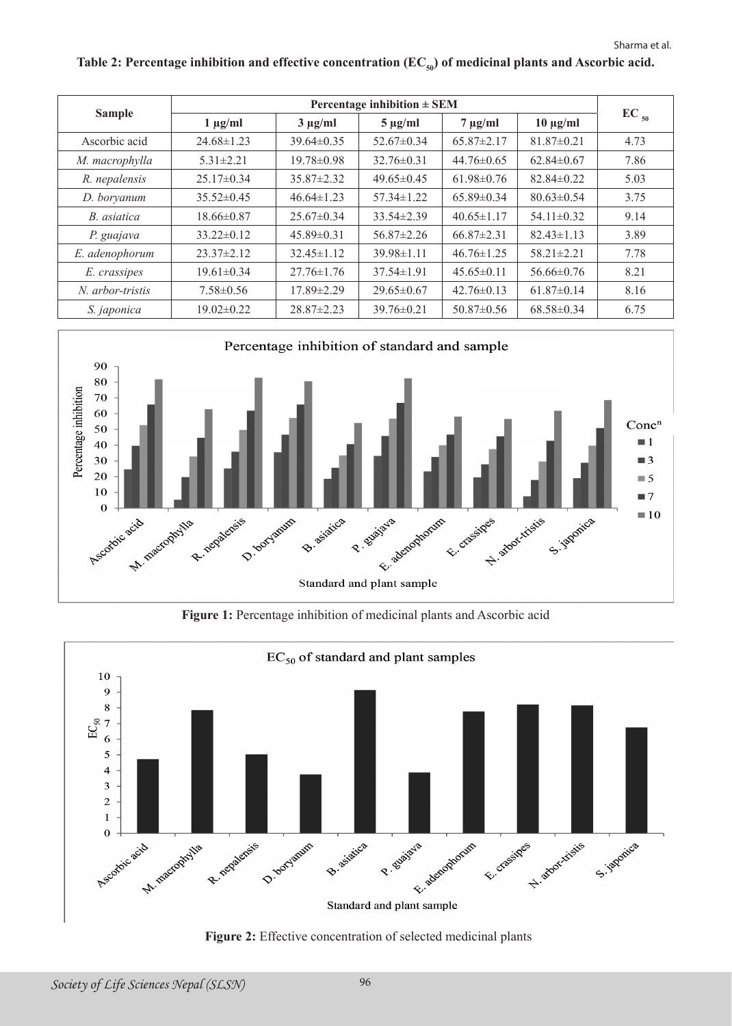| <b>Sample</b>      | Percentage inhibition $\pm$ SEM |                  |                  |                  |                  |           |
|--------------------|---------------------------------|------------------|------------------|------------------|------------------|-----------|
|                    | $1 \mu g/ml$                    | $3 \mu g/ml$     | $5 \mu g/ml$     | $7 \mu g/ml$     | $10 \mu g/ml$    | $EC_{50}$ |
| Ascorbic acid      | $24.68 \pm 1.23$                | $39.64 \pm 0.35$ | $52.67 \pm 0.34$ | $65.87 \pm 2.17$ | $81.87 \pm 0.21$ | 4.73      |
| M. macrophylla     | $5.31 \pm 2.21$                 | 19.78±0.98       | $32.76\pm0.31$   | $44.76 \pm 0.65$ | $62.84 \pm 0.67$ | 7.86      |
| R. nepalensis      | $25.17 \pm 0.34$                | $35.87 \pm 2.32$ | $49.65\pm0.45$   | $61.98 \pm 0.76$ | $82.84 \pm 0.22$ | 5.03      |
| D. boryanum        | $35.52 \pm 0.45$                | $46.64 \pm 1.23$ | $57.34 \pm 1.22$ | $65.89 \pm 0.34$ | $80.63 \pm 0.54$ | 3.75      |
| B. asiatica        | $18.66 \pm 0.87$                | $25.67\pm0.34$   | $33.54 \pm 2.39$ | $40.65 \pm 1.17$ | $54.11 \pm 0.32$ | 9.14      |
| P. guajava         | $33.22 \pm 0.12$                | $45.89 \pm 0.31$ | $56.87 \pm 2.26$ | $66.87 \pm 2.31$ | $82.43 \pm 1.13$ | 3.89      |
| E. adenophorum     | $23.37 \pm 2.12$                | $32.45 \pm 1.12$ | $39.98 \pm 1.11$ | $46.76 \pm 1.25$ | $58.21 \pm 2.21$ | 7.78      |
| E. crassipes       | $19.61 \pm 0.34$                | $27.76 \pm 1.76$ | $37.54 \pm 1.91$ | $45.65\pm0.11$   | $56.66\pm0.76$   | 8.21      |
| N. arbor-tristis   | $7.58 \pm 0.56$                 | 17.89±2.29       | $29.65\pm0.67$   | $42.76\pm0.13$   | $61.87 \pm 0.14$ | 8.16      |
| S. <i>japonica</i> | $19.02\pm0.22$                  | $28.87 \pm 2.23$ | $39.76\pm0.21$   | $50.87\pm0.56$   | $68.58\pm0.34$   | 6.75      |





**Figure 1:** Percentage inhibition of medicinal plants and Ascorbic acid



**Figure 2:** Effective concentration of selected medicinal plants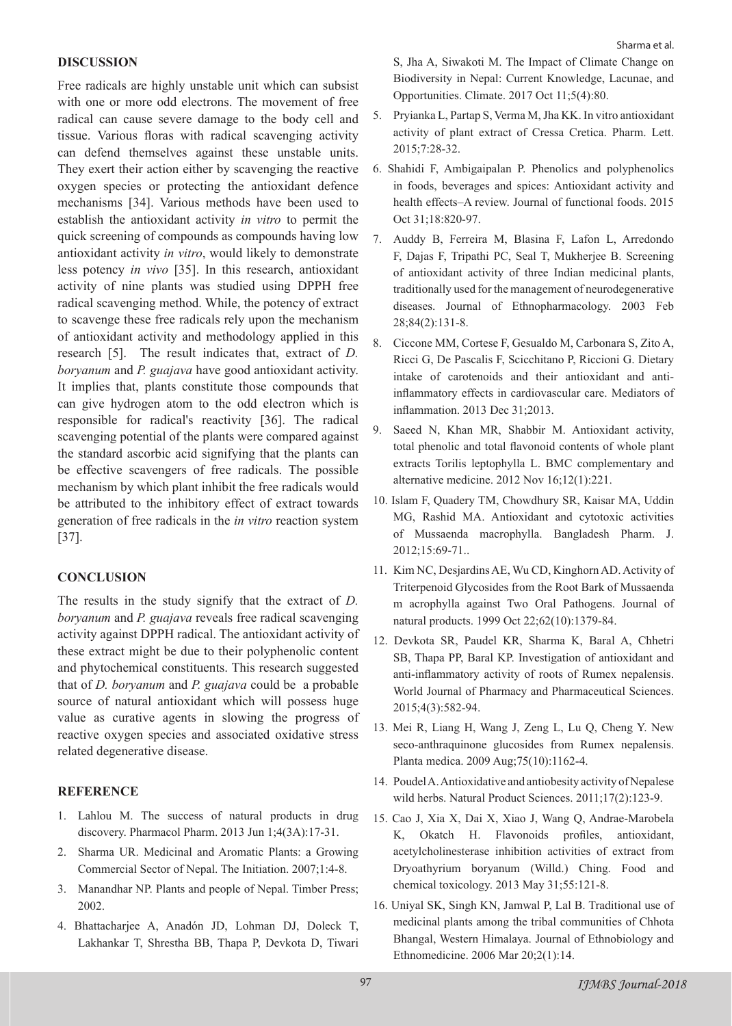#### **DISCUSSION**

Free radicals are highly unstable unit which can subsist with one or more odd electrons. The movement of free radical can cause severe damage to the body cell and tissue. Various floras with radical scavenging activity can defend themselves against these unstable units. They exert their action either by scavenging the reactive oxygen species or protecting the antioxidant defence mechanisms [34]. Various methods have been used to establish the antioxidant activity *in vitro* to permit the quick screening of compounds as compounds having low antioxidant activity *in vitro*, would likely to demonstrate less potency *in vivo* [35]. In this research, antioxidant activity of nine plants was studied using DPPH free radical scavenging method. While, the potency of extract to scavenge these free radicals rely upon the mechanism of antioxidant activity and methodology applied in this research [5]. The result indicates that, extract of *D. boryanum* and *P. guajava* have good antioxidant activity. It implies that, plants constitute those compounds that can give hydrogen atom to the odd electron which is responsible for radical's reactivity [36]. The radical scavenging potential of the plants were compared against the standard ascorbic acid signifying that the plants can be effective scavengers of free radicals. The possible mechanism by which plant inhibit the free radicals would be attributed to the inhibitory effect of extract towards generation of free radicals in the *in vitro* reaction system [37].

# **CONCLUSION**

The results in the study signify that the extract of *D. boryanum* and *P. guajava* reveals free radical scavenging activity against DPPH radical. The antioxidant activity of these extract might be due to their polyphenolic content and phytochemical constituents. This research suggested that of *D. boryanum* and *P. guajava* could be a probable source of natural antioxidant which will possess huge value as curative agents in slowing the progress of reactive oxygen species and associated oxidative stress related degenerative disease.

# **REFERENCE**

- 1. Lahlou M. The success of natural products in drug discovery. Pharmacol Pharm. 2013 Jun 1;4(3A):17-31.
- 2. Sharma UR. Medicinal and Aromatic Plants: a Growing Commercial Sector of Nepal. The Initiation. 2007;1:4-8.
- 3. Manandhar NP. Plants and people of Nepal. Timber Press; 2002.
- 4. Bhattacharjee A, Anadón JD, Lohman DJ, Doleck T, Lakhankar T, Shrestha BB, Thapa P, Devkota D, Tiwari

S, Jha A, Siwakoti M. The Impact of Climate Change on Biodiversity in Nepal: Current Knowledge, Lacunae, and Opportunities. Climate. 2017 Oct 11;5(4):80.

- 5. Pryianka L, Partap S, Verma M, Jha KK. In vitro antioxidant activity of plant extract of Cressa Cretica. Pharm. Lett. 2015;7:28-32.
- 6. Shahidi F, Ambigaipalan P. Phenolics and polyphenolics in foods, beverages and spices: Antioxidant activity and health effects–A review. Journal of functional foods. 2015 Oct 31;18:820-97.
- 7. Auddy B, Ferreira M, Blasina F, Lafon L, Arredondo F, Dajas F, Tripathi PC, Seal T, Mukherjee B. Screening of antioxidant activity of three Indian medicinal plants, traditionally used for the management of neurodegenerative diseases. Journal of Ethnopharmacology. 2003 Feb 28;84(2):131-8.
- 8. Ciccone MM, Cortese F, Gesualdo M, Carbonara S, Zito A, Ricci G, De Pascalis F, Scicchitano P, Riccioni G. Dietary intake of carotenoids and their antioxidant and antiinflammatory effects in cardiovascular care. Mediators of inflammation. 2013 Dec 31;2013.
- 9. Saeed N, Khan MR, Shabbir M. Antioxidant activity, total phenolic and total flavonoid contents of whole plant extracts Torilis leptophylla L. BMC complementary and alternative medicine. 2012 Nov 16;12(1):221.
- 10. Islam F, Quadery TM, Chowdhury SR, Kaisar MA, Uddin MG, Rashid MA. Antioxidant and cytotoxic activities of Mussaenda macrophylla. Bangladesh Pharm. J. 2012;15:69-71..
- 11. Kim NC, Desjardins AE, Wu CD, Kinghorn AD. Activity of Triterpenoid Glycosides from the Root Bark of Mussaenda m acrophylla against Two Oral Pathogens. Journal of natural products. 1999 Oct 22;62(10):1379-84.
- 12. Devkota SR, Paudel KR, Sharma K, Baral A, Chhetri SB, Thapa PP, Baral KP. Investigation of antioxidant and anti-inflammatory activity of roots of Rumex nepalensis. World Journal of Pharmacy and Pharmaceutical Sciences. 2015;4(3):582-94.
- 13. Mei R, Liang H, Wang J, Zeng L, Lu Q, Cheng Y. New seco-anthraquinone glucosides from Rumex nepalensis. Planta medica. 2009 Aug;75(10):1162-4.
- 14. Poudel A. Antioxidative and antiobesity activity of Nepalese wild herbs. Natural Product Sciences. 2011;17(2):123-9.
- 15. Cao J, Xia X, Dai X, Xiao J, Wang Q, Andrae-Marobela K, Okatch H. Flavonoids profiles, antioxidant, acetylcholinesterase inhibition activities of extract from Dryoathyrium boryanum (Willd.) Ching. Food and chemical toxicology. 2013 May 31;55:121-8.
- 16. Uniyal SK, Singh KN, Jamwal P, Lal B. Traditional use of medicinal plants among the tribal communities of Chhota Bhangal, Western Himalaya. Journal of Ethnobiology and Ethnomedicine. 2006 Mar 20;2(1):14.